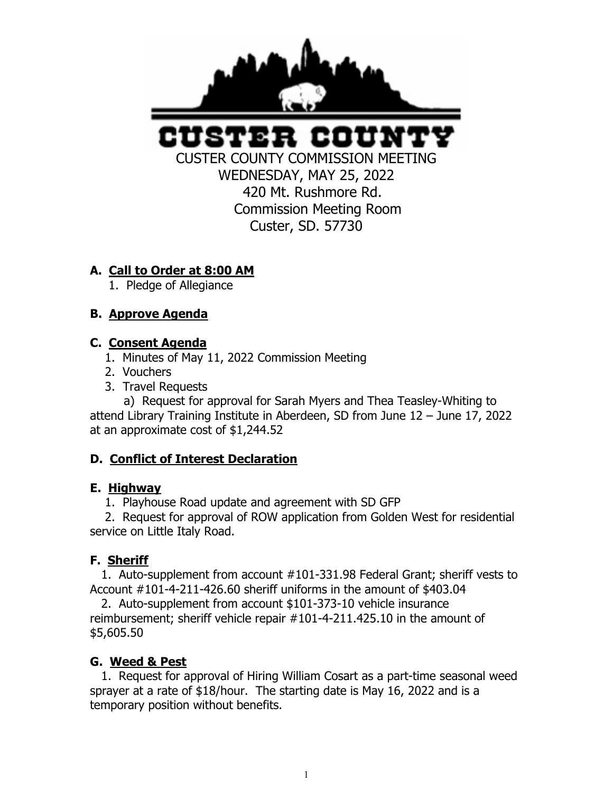

вн ного

CUSTER COUNTY COMMISSION MEETING WEDNESDAY, MAY 25, 2022 420 Mt. Rushmore Rd. Commission Meeting Room Custer, SD. 57730

# **A. Call to Order at 8:00 AM**

1. Pledge of Allegiance

# **B. Approve Agenda**

# **C. Consent Agenda**

- 1. Minutes of May 11, 2022 Commission Meeting
- 2. Vouchers
- 3. Travel Requests

 a) Request for approval for Sarah Myers and Thea Teasley-Whiting to attend Library Training Institute in Aberdeen, SD from June 12 – June 17, 2022 at an approximate cost of \$1,244.52

# **D. Conflict of Interest Declaration**

# **E. Highway**

1. Playhouse Road update and agreement with SD GFP

 2. Request for approval of ROW application from Golden West for residential service on Little Italy Road.

# **F. Sheriff**

 1. Auto-supplement from account #101-331.98 Federal Grant; sheriff vests to Account #101-4-211-426.60 sheriff uniforms in the amount of \$403.04

 2. Auto-supplement from account \$101-373-10 vehicle insurance reimbursement; sheriff vehicle repair #101-4-211.425.10 in the amount of \$5,605.50

# **G. Weed & Pest**

 1. Request for approval of Hiring William Cosart as a part-time seasonal weed sprayer at a rate of \$18/hour. The starting date is May 16, 2022 and is a temporary position without benefits.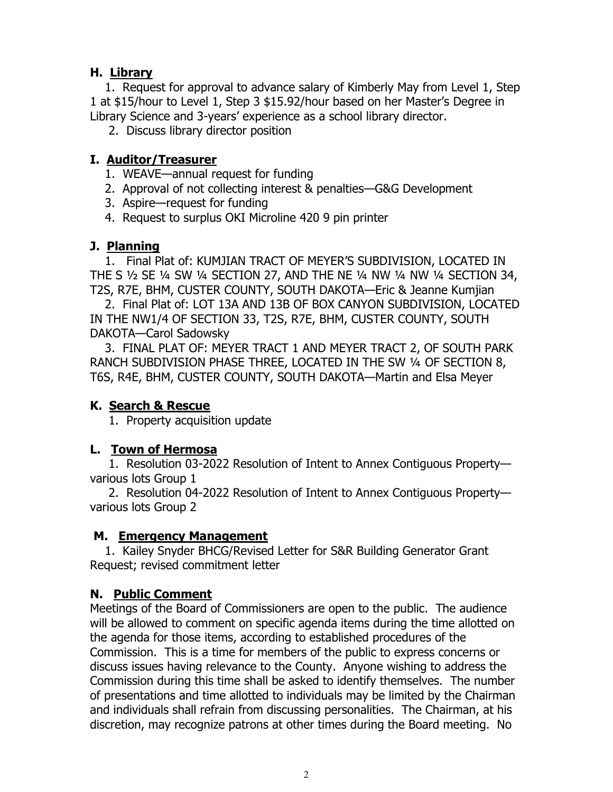# **H. Library**

 1. Request for approval to advance salary of Kimberly May from Level 1, Step 1 at \$15/hour to Level 1, Step 3 \$15.92/hour based on her Master's Degree in Library Science and 3-years' experience as a school library director.

2. Discuss library director position

### **I. Auditor/Treasurer**

- 1. WEAVE—annual request for funding
- 2. Approval of not collecting interest & penalties—G&G Development
- 3. Aspire—request for funding
- 4. Request to surplus OKI Microline 420 9 pin printer

### **J. Planning**

 1. Final Plat of: KUMJIAN TRACT OF MEYER'S SUBDIVISION, LOCATED IN THE S ½ SE ¼ SW ¼ SECTION 27, AND THE NE ¼ NW ¼ NW ¼ SECTION 34, T2S, R7E, BHM, CUSTER COUNTY, SOUTH DAKOTA—Eric & Jeanne Kumjian

 2. Final Plat of: LOT 13A AND 13B OF BOX CANYON SUBDIVISION, LOCATED IN THE NW1/4 OF SECTION 33, T2S, R7E, BHM, CUSTER COUNTY, SOUTH DAKOTA—Carol Sadowsky

 3. FINAL PLAT OF: MEYER TRACT 1 AND MEYER TRACT 2, OF SOUTH PARK RANCH SUBDIVISION PHASE THREE, LOCATED IN THE SW ¼ OF SECTION 8, T6S, R4E, BHM, CUSTER COUNTY, SOUTH DAKOTA—Martin and Elsa Meyer

#### **K. Search & Rescue**

1. Property acquisition update

#### **L. Town of Hermosa**

 1. Resolution 03-2022 Resolution of Intent to Annex Contiguous Property various lots Group 1

 2. Resolution 04-2022 Resolution of Intent to Annex Contiguous Property various lots Group 2

#### **M. Emergency Management**

 1. Kailey Snyder BHCG/Revised Letter for S&R Building Generator Grant Request; revised commitment letter

# **N. Public Comment**

Meetings of the Board of Commissioners are open to the public. The audience will be allowed to comment on specific agenda items during the time allotted on the agenda for those items, according to established procedures of the Commission. This is a time for members of the public to express concerns or discuss issues having relevance to the County. Anyone wishing to address the Commission during this time shall be asked to identify themselves. The number of presentations and time allotted to individuals may be limited by the Chairman and individuals shall refrain from discussing personalities. The Chairman, at his discretion, may recognize patrons at other times during the Board meeting. No